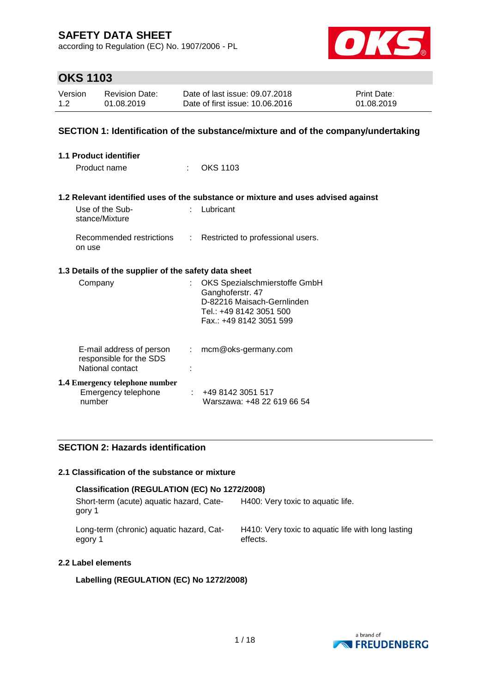according to Regulation (EC) No. 1907/2006 - PL



## **OKS 1103**

| Version | <b>Revision Date:</b> | Date of last issue: 09.07.2018  | <b>Print Date:</b> |
|---------|-----------------------|---------------------------------|--------------------|
| 1.2     | 01.08.2019            | Date of first issue: 10.06.2016 | 01.08.2019         |

### **SECTION 1: Identification of the substance/mixture and of the company/undertaking**

| <b>1.1 Product identifier</b>                                           |    |                                                                                                                                      |
|-------------------------------------------------------------------------|----|--------------------------------------------------------------------------------------------------------------------------------------|
| Product name                                                            | ÷  | OKS 1103                                                                                                                             |
|                                                                         |    | 1.2 Relevant identified uses of the substance or mixture and uses advised against                                                    |
| Use of the Sub-<br>stance/Mixture                                       |    | Lubricant                                                                                                                            |
| Recommended restrictions<br>on use                                      | t. | Restricted to professional users.                                                                                                    |
| 1.3 Details of the supplier of the safety data sheet                    |    |                                                                                                                                      |
| Company                                                                 |    | OKS Spezialschmierstoffe GmbH<br>Ganghoferstr. 47<br>D-82216 Maisach-Gernlinden<br>Tel.: +49 8142 3051 500<br>Fax: +49 8142 3051 599 |
| E-mail address of person<br>responsible for the SDS<br>National contact | ÷. | mcm@oks-germany.com                                                                                                                  |
| <b>1.4 Emergency telephone number</b><br>Emergency telephone<br>number  |    | : 4981423051517<br>Warszawa: +48 22 619 66 54                                                                                        |

### **SECTION 2: Hazards identification**

#### **2.1 Classification of the substance or mixture**

#### **Classification (REGULATION (EC) No 1272/2008)**

Short-term (acute) aquatic hazard, Category 1 H400: Very toxic to aquatic life.

Long-term (chronic) aquatic hazard, Category 1

H410: Very toxic to aquatic life with long lasting effects.

### **2.2 Label elements**

#### **Labelling (REGULATION (EC) No 1272/2008)**

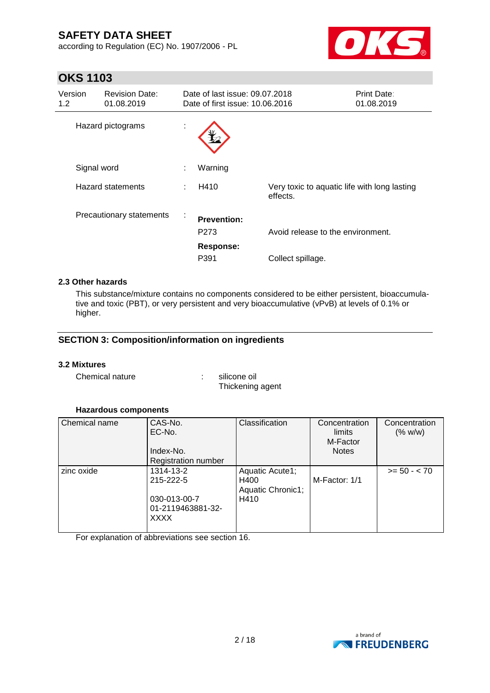according to Regulation (EC) No. 1907/2006 - PL



# **OKS 1103**

| Version<br>1.2 <sub>2</sub> |             | <b>Revision Date:</b><br>01.08.2019 |    | Date of last issue: 09.07.2018<br>Date of first issue: 10.06.2016 |                                                          | <b>Print Date:</b><br>01.08.2019 |
|-----------------------------|-------------|-------------------------------------|----|-------------------------------------------------------------------|----------------------------------------------------------|----------------------------------|
|                             |             | Hazard pictograms                   | ×. |                                                                   |                                                          |                                  |
|                             | Signal word |                                     |    | Warning                                                           |                                                          |                                  |
|                             |             | Hazard statements                   |    | H410                                                              | Very toxic to aquatic life with long lasting<br>effects. |                                  |
|                             |             | Precautionary statements            | ×. | <b>Prevention:</b><br>P273<br><b>Response:</b>                    | Avoid release to the environment.                        |                                  |
|                             |             |                                     |    | P391                                                              | Collect spillage.                                        |                                  |

### **2.3 Other hazards**

This substance/mixture contains no components considered to be either persistent, bioaccumulative and toxic (PBT), or very persistent and very bioaccumulative (vPvB) at levels of 0.1% or higher.

### **SECTION 3: Composition/information on ingredients**

#### **3.2 Mixtures**

Chemical nature  $\qquad \qquad$ : silicone oil

Thickening agent

#### **Hazardous components**

| Chemical name | CAS-No.<br>EC-No.          | Classification            | Concentration<br>limits<br>M-Factor | Concentration<br>(% w/w) |
|---------------|----------------------------|---------------------------|-------------------------------------|--------------------------|
|               | Index-No.                  |                           | <b>Notes</b>                        |                          |
|               | <b>Registration number</b> |                           |                                     |                          |
| zinc oxide    | 1314-13-2                  | Aquatic Acute1;           |                                     | $>= 50 - < 70$           |
|               | 215-222-5                  | H400<br>Aquatic Chronic1; | M-Factor: 1/1                       |                          |
|               | 030-013-00-7               | H410                      |                                     |                          |
|               | 01-2119463881-32-          |                           |                                     |                          |
|               | <b>XXXX</b>                |                           |                                     |                          |
|               |                            |                           |                                     |                          |

For explanation of abbreviations see section 16.

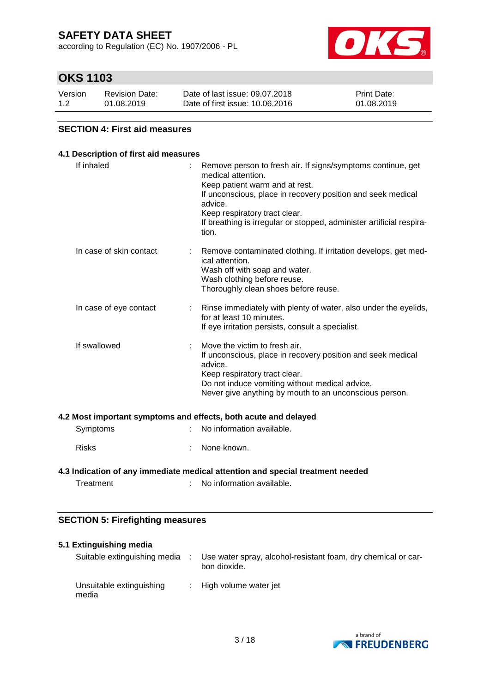according to Regulation (EC) No. 1907/2006 - PL



## **OKS 1103**

| Version | <b>Revision Date:</b> | Date of last issue: 09.07.2018  | <b>Print Date:</b> |
|---------|-----------------------|---------------------------------|--------------------|
| 1.2     | 01.08.2019            | Date of first issue: 10.06.2016 | 01.08.2019         |

### **SECTION 4: First aid measures**

### **4.1 Description of first aid measures** If inhaled : Remove person to fresh air. If signs/symptoms continue, get medical attention. Keep patient warm and at rest. If unconscious, place in recovery position and seek medical advice. Keep respiratory tract clear. If breathing is irregular or stopped, administer artificial respiration. In case of skin contact : Remove contaminated clothing. If irritation develops, get medical attention. Wash off with soap and water. Wash clothing before reuse. Thoroughly clean shoes before reuse. In case of eye contact : Rinse immediately with plenty of water, also under the eyelids, for at least 10 minutes. If eye irritation persists, consult a specialist. If swallowed : Move the victim to fresh air. If unconscious, place in recovery position and seek medical advice. Keep respiratory tract clear. Do not induce vomiting without medical advice. Never give anything by mouth to an unconscious person. **4.2 Most important symptoms and effects, both acute and delayed** Symptoms : No information available. Risks : None known.

### **4.3 Indication of any immediate medical attention and special treatment needed**

Treatment : No information available.

### **SECTION 5: Firefighting measures**

| 5.1 Extinguishing media           |                                                                               |
|-----------------------------------|-------------------------------------------------------------------------------|
| Suitable extinguishing media      | Use water spray, alcohol-resistant foam, dry chemical or car-<br>bon dioxide. |
| Unsuitable extinguishing<br>media | : High volume water jet                                                       |

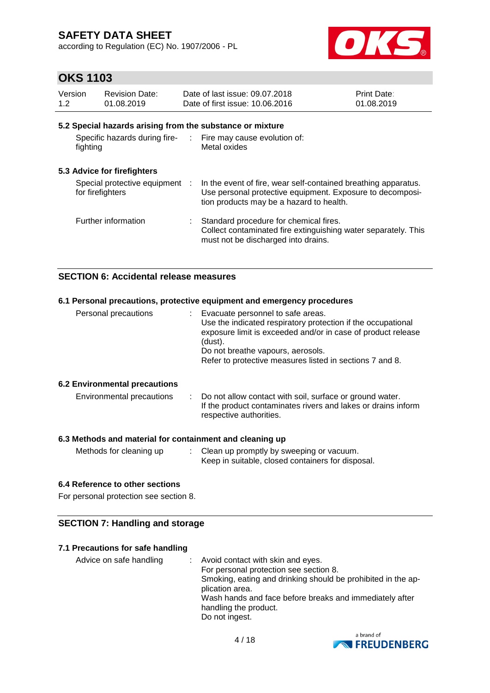according to Regulation (EC) No. 1907/2006 - PL



## **OKS 1103**

| Version<br>1.2 | <b>Revision Date:</b><br>01.08.2019                | Date of last issue: 09.07.2018<br>Date of first issue: 10.06.2016                                                                                                       | Print Date:<br>01.08.2019 |
|----------------|----------------------------------------------------|-------------------------------------------------------------------------------------------------------------------------------------------------------------------------|---------------------------|
|                |                                                    | 5.2 Special hazards arising from the substance or mixture                                                                                                               |                           |
| fighting       |                                                    | Specific hazards during fire- : Fire may cause evolution of:<br>Metal oxides                                                                                            |                           |
|                | 5.3 Advice for firefighters                        |                                                                                                                                                                         |                           |
|                | Special protective equipment :<br>for firefighters | In the event of fire, wear self-contained breathing apparatus.<br>Use personal protective equipment. Exposure to decomposi-<br>tion products may be a hazard to health. |                           |
|                | Further information                                | Standard procedure for chemical fires.<br>Collect contaminated fire extinguishing water separately. This<br>must not be discharged into drains.                         |                           |

### **SECTION 6: Accidental release measures**

| 6.1 Personal precautions, protective equipment and emergency procedures |                                                                                                                                                                                                                                                                                 |  |  |  |  |  |
|-------------------------------------------------------------------------|---------------------------------------------------------------------------------------------------------------------------------------------------------------------------------------------------------------------------------------------------------------------------------|--|--|--|--|--|
| Personal precautions                                                    | : Evacuate personnel to safe areas.<br>Use the indicated respiratory protection if the occupational<br>exposure limit is exceeded and/or in case of product release<br>(dust).<br>Do not breathe vapours, aerosols.<br>Refer to protective measures listed in sections 7 and 8. |  |  |  |  |  |
| <b>6.2 Environmental precautions</b>                                    |                                                                                                                                                                                                                                                                                 |  |  |  |  |  |
| Environmental precautions                                               | : Do not allow contact with soil, surface or ground water.<br>If the product contaminates rivers and lakes or drains inform<br>respective authorities.                                                                                                                          |  |  |  |  |  |

### **6.3 Methods and material for containment and cleaning up**

| Methods for cleaning up | Clean up promptly by sweeping or vacuum.<br>Keep in suitable, closed containers for disposal. |
|-------------------------|-----------------------------------------------------------------------------------------------|
|                         |                                                                                               |

### **6.4 Reference to other sections**

For personal protection see section 8.

### **SECTION 7: Handling and storage**

### **7.1 Precautions for safe handling**

Advice on safe handling : Avoid contact with skin and eyes. For personal protection see section 8. Smoking, eating and drinking should be prohibited in the application area. Wash hands and face before breaks and immediately after handling the product. Do not ingest.

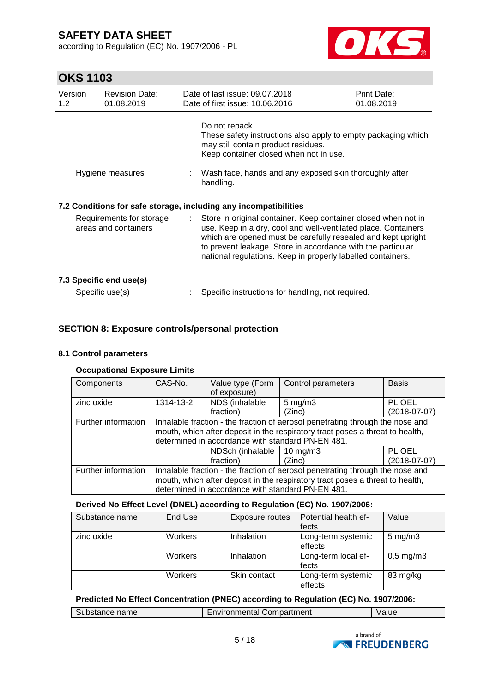according to Regulation (EC) No. 1907/2006 - PL



# **OKS 1103**

| Version<br>1.2                                   | <b>Revision Date:</b><br>01.08.2019        |    | Date of last issue: 09.07.2018<br>Date of first issue: 10.06.2016                                                                                                                                                                                                                                                              | Print Date:<br>01.08.2019 |  |
|--------------------------------------------------|--------------------------------------------|----|--------------------------------------------------------------------------------------------------------------------------------------------------------------------------------------------------------------------------------------------------------------------------------------------------------------------------------|---------------------------|--|
|                                                  |                                            |    | Do not repack.<br>These safety instructions also apply to empty packaging which<br>may still contain product residues.<br>Keep container closed when not in use.                                                                                                                                                               |                           |  |
|                                                  | Hygiene measures                           |    | : Wash face, hands and any exposed skin thoroughly after<br>handling.                                                                                                                                                                                                                                                          |                           |  |
|                                                  |                                            |    | 7.2 Conditions for safe storage, including any incompatibilities                                                                                                                                                                                                                                                               |                           |  |
| Requirements for storage<br>areas and containers |                                            | ÷. | Store in original container. Keep container closed when not in<br>use. Keep in a dry, cool and well-ventilated place. Containers<br>which are opened must be carefully resealed and kept upright<br>to prevent leakage. Store in accordance with the particular<br>national regulations. Keep in properly labelled containers. |                           |  |
|                                                  | 7.3 Specific end use(s)<br>Specific use(s) |    | Specific instructions for handling, not required.                                                                                                                                                                                                                                                                              |                           |  |
|                                                  |                                            |    |                                                                                                                                                                                                                                                                                                                                |                           |  |

### **SECTION 8: Exposure controls/personal protection**

#### **8.1 Control parameters**

### **Occupational Exposure Limits**

| Components          | CAS-No.                                                                       | Value type (Form                                  | Control parameters | <b>Basis</b>   |  |  |
|---------------------|-------------------------------------------------------------------------------|---------------------------------------------------|--------------------|----------------|--|--|
|                     |                                                                               | of exposure)                                      |                    |                |  |  |
| zinc oxide          | 1314-13-2                                                                     | NDS (inhalable                                    | $5 \text{ mg/m}$ 3 | PL OEL         |  |  |
|                     |                                                                               | fraction)                                         | (Zinc)             | $(2018-07-07)$ |  |  |
| Further information | Inhalable fraction - the fraction of aerosol penetrating through the nose and |                                                   |                    |                |  |  |
|                     | mouth, which after deposit in the respiratory tract poses a threat to health, |                                                   |                    |                |  |  |
|                     | determined in accordance with standard PN-EN 481.                             |                                                   |                    |                |  |  |
|                     |                                                                               | PL OEL<br>NDSch (inhalable<br>10 mg/m $3$         |                    |                |  |  |
|                     |                                                                               | fraction)                                         | (Zinc)             | $(2018-07-07)$ |  |  |
| Further information | Inhalable fraction - the fraction of aerosol penetrating through the nose and |                                                   |                    |                |  |  |
|                     | mouth, which after deposit in the respiratory tract poses a threat to health, |                                                   |                    |                |  |  |
|                     |                                                                               | determined in accordance with standard PN-EN 481. |                    |                |  |  |

#### **Derived No Effect Level (DNEL) according to Regulation (EC) No. 1907/2006:**

| Substance name | End Use | Exposure routes | Potential health ef-          | Value              |
|----------------|---------|-----------------|-------------------------------|--------------------|
|                |         |                 | fects                         |                    |
| zinc oxide     | Workers | Inhalation      | Long-term systemic<br>effects | $5 \text{ mg/m}$ 3 |
|                | Workers | Inhalation      | Long-term local ef-<br>fects  | $0,5$ mg/m $3$     |
|                | Workers | Skin contact    | Long-term systemic<br>effects | 83 mg/kg           |

### **Predicted No Effect Concentration (PNEC) according to Regulation (EC) No. 1907/2006:**

| Compartment<br>name<br>Substance<br>nvironmentai t<br>aiuc |
|------------------------------------------------------------|
|------------------------------------------------------------|

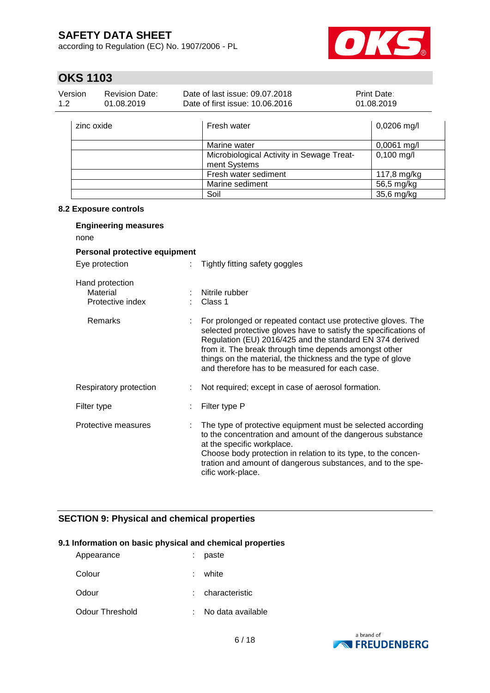according to Regulation (EC) No. 1907/2006 - PL



# **OKS 1103**

| Version<br><b>Revision Date:</b><br>1.2<br>01.08.2019 |  | Date of last issue: 09.07.2018<br>Date of first issue: 10.06.2016 | Print Date:<br>01.08.2019 |
|-------------------------------------------------------|--|-------------------------------------------------------------------|---------------------------|
| zinc oxide                                            |  | Fresh water                                                       | $0,0206$ mg/l             |
|                                                       |  | Marine water                                                      | $0,0061$ mg/l             |
|                                                       |  | Microbiological Activity in Sewage Treat-<br>ment Systems         | $0,100$ mg/l              |
|                                                       |  | Fresh water sediment                                              | 117,8 mg/kg               |
|                                                       |  | Marine sediment                                                   | 56,5 mg/kg                |
|                                                       |  | Soil                                                              | 35,6 mg/kg                |

#### **8.2 Exposure controls**

| <b>Engineering measures</b><br>none             |    |                                                                                                                                                                                                                                                                                                                                                                         |  |  |  |  |
|-------------------------------------------------|----|-------------------------------------------------------------------------------------------------------------------------------------------------------------------------------------------------------------------------------------------------------------------------------------------------------------------------------------------------------------------------|--|--|--|--|
| Personal protective equipment                   |    |                                                                                                                                                                                                                                                                                                                                                                         |  |  |  |  |
| Eye protection                                  | ÷. | Tightly fitting safety goggles                                                                                                                                                                                                                                                                                                                                          |  |  |  |  |
| Hand protection<br>Material<br>Protective index |    | Nitrile rubber<br>Class 1                                                                                                                                                                                                                                                                                                                                               |  |  |  |  |
| Remarks                                         |    | For prolonged or repeated contact use protective gloves. The<br>selected protective gloves have to satisfy the specifications of<br>Regulation (EU) 2016/425 and the standard EN 374 derived<br>from it. The break through time depends amongst other<br>things on the material, the thickness and the type of glove<br>and therefore has to be measured for each case. |  |  |  |  |
| Respiratory protection                          |    | Not required; except in case of aerosol formation.                                                                                                                                                                                                                                                                                                                      |  |  |  |  |
| Filter type                                     |    | Filter type P                                                                                                                                                                                                                                                                                                                                                           |  |  |  |  |
| Protective measures                             |    | The type of protective equipment must be selected according<br>to the concentration and amount of the dangerous substance<br>at the specific workplace.<br>Choose body protection in relation to its type, to the concen-<br>tration and amount of dangerous substances, and to the spe-<br>cific work-place.                                                           |  |  |  |  |

### **SECTION 9: Physical and chemical properties**

### **9.1 Information on basic physical and chemical properties**

| Appearance      | paste             |
|-----------------|-------------------|
| Colour          | : white           |
| Odour           | : characteristic  |
| Odour Threshold | No data available |

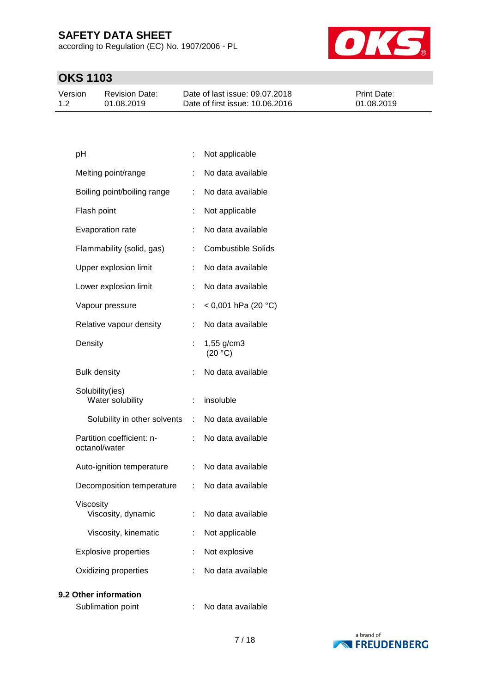according to Regulation (EC) No. 1907/2006 - PL



# **OKS 1103**

| Version | <b>Revision Date:</b> | Date of last issue: 09.07.2018  | <b>Print Date:</b> |
|---------|-----------------------|---------------------------------|--------------------|
| 1.2     | 01.08.2019            | Date of first issue: 10.06.2016 | 01.08.2019         |

| pH                                         | t. | Not applicable            |
|--------------------------------------------|----|---------------------------|
| Melting point/range                        |    | No data available         |
| Boiling point/boiling range                | t. | No data available         |
| Flash point                                | t  | Not applicable            |
| Evaporation rate                           |    | No data available         |
| Flammability (solid, gas)                  |    | <b>Combustible Solids</b> |
| Upper explosion limit                      |    | No data available         |
| Lower explosion limit                      |    | No data available         |
| Vapour pressure                            |    | $<$ 0,001 hPa (20 °C)     |
| Relative vapour density                    | t. | No data available         |
| Density                                    |    | 1,55 g/cm3<br>(20 °C)     |
| <b>Bulk density</b>                        |    | No data available         |
| Solubility(ies)<br>Water solubility        | t. | insoluble                 |
| Solubility in other solvents               | t. | No data available         |
| Partition coefficient: n-<br>octanol/water |    | No data available         |
| Auto-ignition temperature                  | t. | No data available         |
| Decomposition temperature                  | t. | No data available         |
| Viscosity<br>Viscosity, dynamic            |    | No data available         |
| Viscosity, kinematic                       |    | Not applicable            |
| <b>Explosive properties</b>                |    | Not explosive             |
| Oxidizing properties                       | t. | No data available         |
|                                            |    |                           |

### **9.2 Other information**

Sublimation point : No data available

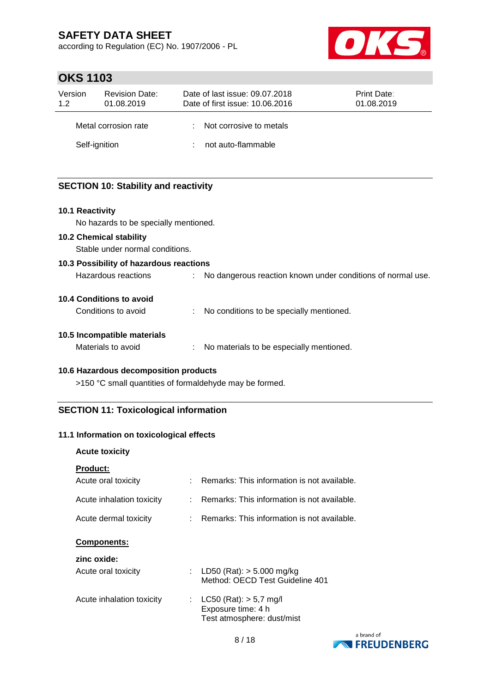according to Regulation (EC) No. 1907/2006 - PL



## **OKS 1103**

| Version<br>1.2 | <b>Revision Date:</b><br>01.08.2019 | Date of last issue: 09.07.2018<br>Date of first issue: 10.06.2016 | <b>Print Date:</b><br>01.08.2019 |
|----------------|-------------------------------------|-------------------------------------------------------------------|----------------------------------|
|                | Metal corrosion rate                | : Not corrosive to metals                                         |                                  |
|                | Self-ignition                       | not auto-flammable                                                |                                  |

### **SECTION 10: Stability and reactivity**

#### **10.1 Reactivity**

No hazards to be specially mentioned.

#### **10.2 Chemical stability**

Stable under normal conditions.

| 10.3 Possibility of hazardous reactions |  |                                                             |  |  |  |  |
|-----------------------------------------|--|-------------------------------------------------------------|--|--|--|--|
| Hazardous reactions                     |  | No dangerous reaction known under conditions of normal use. |  |  |  |  |
| 10.4 Conditions to avoid                |  |                                                             |  |  |  |  |
| Conditions to avoid                     |  | No conditions to be specially mentioned.                    |  |  |  |  |
| 10.5 Incompatible materials             |  |                                                             |  |  |  |  |
| Materials to avoid                      |  | No materials to be especially mentioned.                    |  |  |  |  |

### **10.6 Hazardous decomposition products**

>150 °C small quantities of formaldehyde may be formed.

### **SECTION 11: Toxicological information**

### **11.1 Information on toxicological effects**

### **Acute toxicity**

| Product: |  |  |  |  |
|----------|--|--|--|--|
|          |  |  |  |  |
|          |  |  |  |  |
|          |  |  |  |  |

| Acute oral toxicity       |    | Remarks: This information is not available.                                    |
|---------------------------|----|--------------------------------------------------------------------------------|
| Acute inhalation toxicity |    | Remarks: This information is not available.                                    |
| Acute dermal toxicity     |    | Remarks: This information is not available.                                    |
| <b>Components:</b>        |    |                                                                                |
| zinc oxide:               |    |                                                                                |
| Acute oral toxicity       |    | LD50 (Rat): $>$ 5.000 mg/kg<br>Method: OECD Test Guideline 401                 |
| Acute inhalation toxicity | ÷. | $LC50$ (Rat): $> 5.7$ mg/l<br>Exposure time: 4 h<br>Test atmosphere: dust/mist |

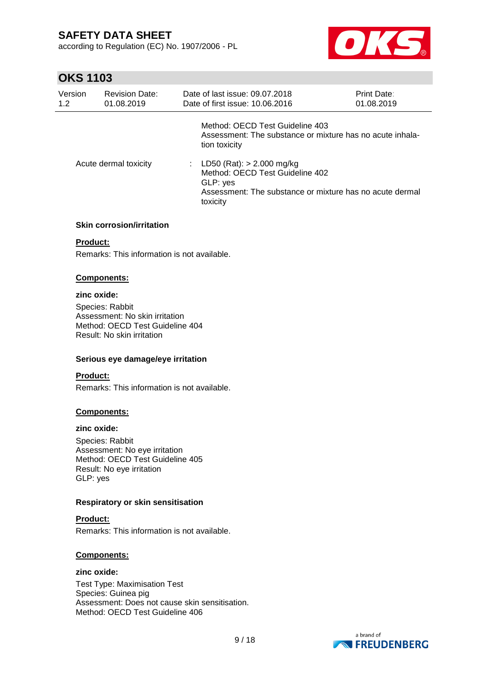according to Regulation (EC) No. 1907/2006 - PL



## **OKS 1103**

| Version<br>1.2        | <b>Revision Date:</b><br>01.08.2019 | Date of last issue: 09.07.2018<br>Date of first issue: 10.06.2016                                                                                    | <b>Print Date:</b><br>01.08.2019 |
|-----------------------|-------------------------------------|------------------------------------------------------------------------------------------------------------------------------------------------------|----------------------------------|
|                       |                                     | Method: OECD Test Guideline 403<br>Assessment: The substance or mixture has no acute inhala-<br>tion toxicity                                        |                                  |
| Acute dermal toxicity |                                     | : LD50 (Rat): $> 2.000$ mg/kg<br>Method: OECD Test Guideline 402<br>GLP: yes<br>Assessment: The substance or mixture has no acute dermal<br>toxicity |                                  |

#### **Skin corrosion/irritation**

#### **Product:**

Remarks: This information is not available.

#### **Components:**

### **zinc oxide:**

Species: Rabbit Assessment: No skin irritation Method: OECD Test Guideline 404 Result: No skin irritation

#### **Serious eye damage/eye irritation**

#### **Product:**

Remarks: This information is not available.

#### **Components:**

#### **zinc oxide:**

Species: Rabbit Assessment: No eye irritation Method: OECD Test Guideline 405 Result: No eye irritation GLP: yes

#### **Respiratory or skin sensitisation**

### **Product:**

Remarks: This information is not available.

#### **Components:**

### **zinc oxide:**

Test Type: Maximisation Test Species: Guinea pig Assessment: Does not cause skin sensitisation. Method: OECD Test Guideline 406

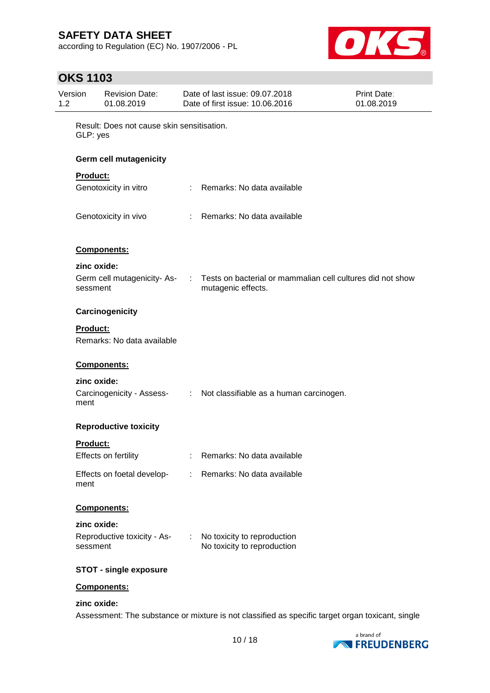according to Regulation (EC) No. 1907/2006 - PL



# **OKS 1103**

| Version<br>1.2 | <b>Revision Date:</b><br>01.08.2019                    |           | Date of last issue: 09.07.2018<br>Date of first issue: 10.06.2016                | <b>Print Date:</b><br>01.08.2019 |
|----------------|--------------------------------------------------------|-----------|----------------------------------------------------------------------------------|----------------------------------|
|                | Result: Does not cause skin sensitisation.<br>GLP: yes |           |                                                                                  |                                  |
|                | <b>Germ cell mutagenicity</b>                          |           |                                                                                  |                                  |
|                | <b>Product:</b>                                        |           |                                                                                  |                                  |
|                | Genotoxicity in vitro                                  |           | : Remarks: No data available                                                     |                                  |
|                | Genotoxicity in vivo                                   |           | : Remarks: No data available                                                     |                                  |
|                | <b>Components:</b>                                     |           |                                                                                  |                                  |
|                | zinc oxide:                                            |           |                                                                                  |                                  |
|                | Germ cell mutagenicity-As-<br>sessment                 | $\sim 10$ | Tests on bacterial or mammalian cell cultures did not show<br>mutagenic effects. |                                  |
|                | Carcinogenicity                                        |           |                                                                                  |                                  |
|                | <b>Product:</b><br>Remarks: No data available          |           |                                                                                  |                                  |
|                | Components:                                            |           |                                                                                  |                                  |
|                | zinc oxide:                                            |           |                                                                                  |                                  |
|                | ment                                                   |           | Carcinogenicity - Assess- : Not classifiable as a human carcinogen.              |                                  |
|                | <b>Reproductive toxicity</b>                           |           |                                                                                  |                                  |
|                | Product:                                               |           |                                                                                  |                                  |
|                | Effects on fertility                                   |           | Remarks: No data available                                                       |                                  |
|                | Effects on foetal develop-<br>ment                     | t.        | Remarks: No data available                                                       |                                  |
|                | Components:                                            |           |                                                                                  |                                  |
|                | zinc oxide:                                            |           |                                                                                  |                                  |
|                | Reproductive toxicity - As-<br>sessment                |           | No toxicity to reproduction<br>No toxicity to reproduction                       |                                  |
|                | <b>STOT - single exposure</b>                          |           |                                                                                  |                                  |
|                | Components:                                            |           |                                                                                  |                                  |

### **zinc oxide:**

Assessment: The substance or mixture is not classified as specific target organ toxicant, single

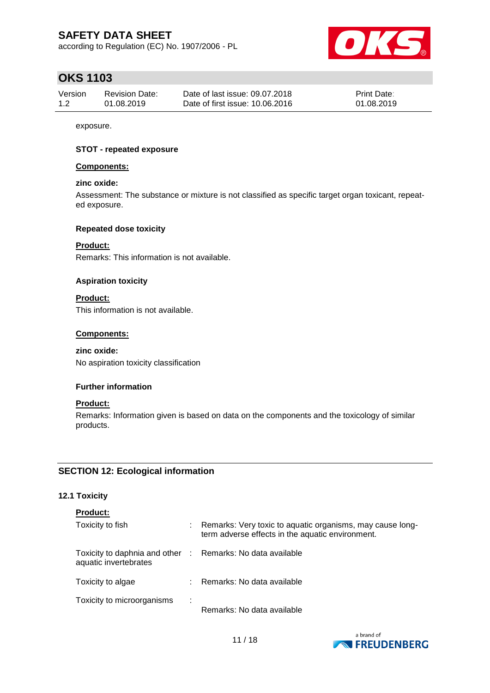according to Regulation (EC) No. 1907/2006 - PL



## **OKS 1103**

| Version | <b>Revision Date:</b> | Date of last issue: 09.07.2018  | <b>Print Date:</b> |
|---------|-----------------------|---------------------------------|--------------------|
| 1.2     | 01.08.2019            | Date of first issue: 10.06.2016 | 01.08.2019         |

exposure.

#### **STOT - repeated exposure**

#### **Components:**

#### **zinc oxide:**

Assessment: The substance or mixture is not classified as specific target organ toxicant, repeated exposure.

#### **Repeated dose toxicity**

### **Product:**

Remarks: This information is not available.

#### **Aspiration toxicity**

**Product:** This information is not available.

#### **Components:**

#### **zinc oxide:**

No aspiration toxicity classification

#### **Further information**

#### **Product:**

Remarks: Information given is based on data on the components and the toxicology of similar products.

### **SECTION 12: Ecological information**

#### **12.1 Toxicity**

| <b>Product:</b>                                                                     |   |                                                                                                                 |
|-------------------------------------------------------------------------------------|---|-----------------------------------------------------------------------------------------------------------------|
| Toxicity to fish                                                                    |   | : Remarks: Very toxic to aquatic organisms, may cause long-<br>term adverse effects in the aquatic environment. |
| Toxicity to daphnia and other : Remarks: No data available<br>aquatic invertebrates |   |                                                                                                                 |
| Toxicity to algae                                                                   |   | : Remarks: No data available                                                                                    |
| Toxicity to microorganisms                                                          | ÷ | Remarks: No data available                                                                                      |

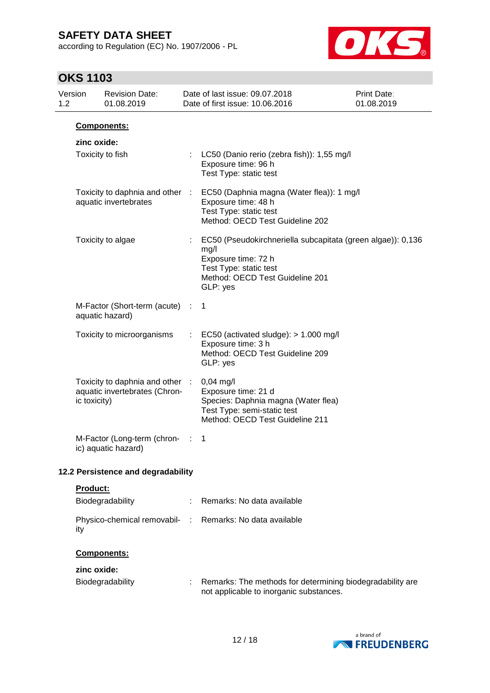according to Regulation (EC) No. 1907/2006 - PL



# **OKS 1103**

| 1.2 | Version         | <b>Revision Date:</b><br>01.08.2019                            |                               | Date of last issue: 09.07.2018<br>Date of first issue: 10.06.2016                                                                                                   | <b>Print Date:</b><br>01.08.2019 |
|-----|-----------------|----------------------------------------------------------------|-------------------------------|---------------------------------------------------------------------------------------------------------------------------------------------------------------------|----------------------------------|
|     |                 | Components:                                                    |                               |                                                                                                                                                                     |                                  |
|     | zinc oxide:     |                                                                |                               |                                                                                                                                                                     |                                  |
|     |                 | Toxicity to fish                                               |                               | : LC50 (Danio rerio (zebra fish)): 1,55 mg/l<br>Exposure time: 96 h<br>Test Type: static test                                                                       |                                  |
|     |                 | Toxicity to daphnia and other :<br>aquatic invertebrates       |                               | EC50 (Daphnia magna (Water flea)): 1 mg/l<br>Exposure time: 48 h<br>Test Type: static test<br>Method: OECD Test Guideline 202                                       |                                  |
|     |                 | Toxicity to algae                                              |                               | EC50 (Pseudokirchneriella subcapitata (green algae)): 0,136<br>mg/l<br>Exposure time: 72 h<br>Test Type: static test<br>Method: OECD Test Guideline 201<br>GLP: yes |                                  |
|     |                 | M-Factor (Short-term (acute)<br>aquatic hazard)                | ÷                             | $\overline{1}$                                                                                                                                                      |                                  |
|     |                 | Toxicity to microorganisms                                     |                               | EC50 (activated sludge): $> 1.000$ mg/l<br>Exposure time: 3 h<br>Method: OECD Test Guideline 209<br>GLP: yes                                                        |                                  |
|     | ic toxicity)    | Toxicity to daphnia and other<br>aquatic invertebrates (Chron- | $\mathcal{I}^{\mathcal{I}}$ . | $0,04$ mg/l<br>Exposure time: 21 d<br>Species: Daphnia magna (Water flea)<br>Test Type: semi-static test<br>Method: OECD Test Guideline 211                         |                                  |
|     |                 | M-Factor (Long-term (chron-<br>ic) aquatic hazard)             |                               | 1                                                                                                                                                                   |                                  |
|     |                 | 12.2 Persistence and degradability                             |                               |                                                                                                                                                                     |                                  |
|     | <b>Product:</b> |                                                                |                               |                                                                                                                                                                     |                                  |
|     |                 | Biodegradability                                               |                               | Remarks: No data available                                                                                                                                          |                                  |
|     | ity             | Physico-chemical removabil-                                    | ÷                             | Remarks: No data available                                                                                                                                          |                                  |
|     |                 | Components:                                                    |                               |                                                                                                                                                                     |                                  |
|     | zinc oxide:     | Biodegradability                                               |                               | Remarks: The methods for determining biodegradability are<br>not applicable to inorganic substances.                                                                |                                  |

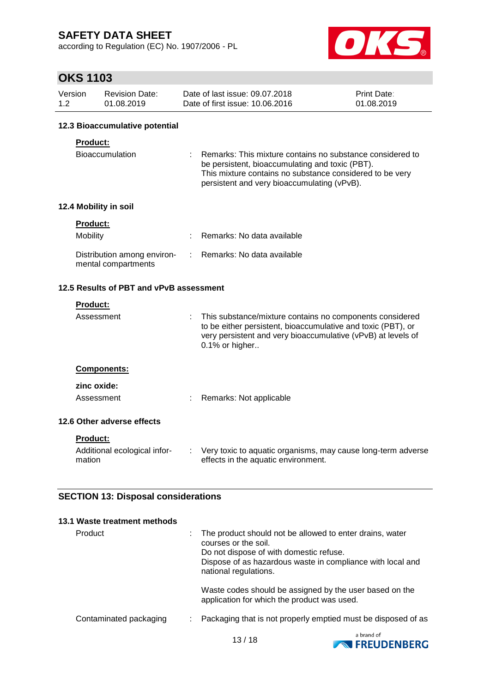according to Regulation (EC) No. 1907/2006 - PL



# **OKS 1103**

| Version | <b>Revision Date:</b> | Date of last issue: 09.07.2018  | <b>Print Date:</b> |
|---------|-----------------------|---------------------------------|--------------------|
| 1.2     | 01.08.2019            | Date of first issue: 10.06.2016 | 01.08.2019         |

#### **12.3 Bioaccumulative potential**

#### **Product:**

| Bioaccumulation |  | Remarks: This mixture contains no substance considered to |
|-----------------|--|-----------------------------------------------------------|
|                 |  | be persistent, bioaccumulating and toxic (PBT).           |
|                 |  | This mixture contains no substance considered to be very  |
|                 |  | persistent and very bioaccumulating (vPvB).               |

### **12.4 Mobility in soil**

| <b>Product:</b>                                    |                              |
|----------------------------------------------------|------------------------------|
| <b>Mobility</b>                                    | : Remarks: No data available |
| Distribution among environ-<br>mental compartments | : Remarks: No data available |

### **12.5 Results of PBT and vPvB assessment**

|            | <b>Product:</b>                        |    |                                                                                                                                                                                                            |
|------------|----------------------------------------|----|------------------------------------------------------------------------------------------------------------------------------------------------------------------------------------------------------------|
| Assessment |                                        | ÷. | This substance/mixture contains no components considered<br>to be either persistent, bioaccumulative and toxic (PBT), or<br>very persistent and very bioaccumulative (vPvB) at levels of<br>0.1% or higher |
|            | <b>Components:</b>                     |    |                                                                                                                                                                                                            |
|            | zinc oxide:                            |    |                                                                                                                                                                                                            |
|            | Assessment                             |    | Remarks: Not applicable                                                                                                                                                                                    |
|            | 12.6 Other adverse effects             |    |                                                                                                                                                                                                            |
|            | <b>Product:</b>                        |    |                                                                                                                                                                                                            |
|            | Additional ecological infor-<br>mation |    | : Very toxic to aquatic organisms, may cause long-term adverse<br>effects in the aquatic environment.                                                                                                      |
|            |                                        |    |                                                                                                                                                                                                            |

### **SECTION 13: Disposal considerations**

| 13.1 Waste treatment methods |                                                                                                                                                                                                                    |
|------------------------------|--------------------------------------------------------------------------------------------------------------------------------------------------------------------------------------------------------------------|
| Product                      | The product should not be allowed to enter drains, water<br>courses or the soil.<br>Do not dispose of with domestic refuse.<br>Dispose of as hazardous waste in compliance with local and<br>national regulations. |
|                              | Waste codes should be assigned by the user based on the<br>application for which the product was used.                                                                                                             |
| Contaminated packaging       | Packaging that is not properly emptied must be disposed of as                                                                                                                                                      |
|                              |                                                                                                                                                                                                                    |

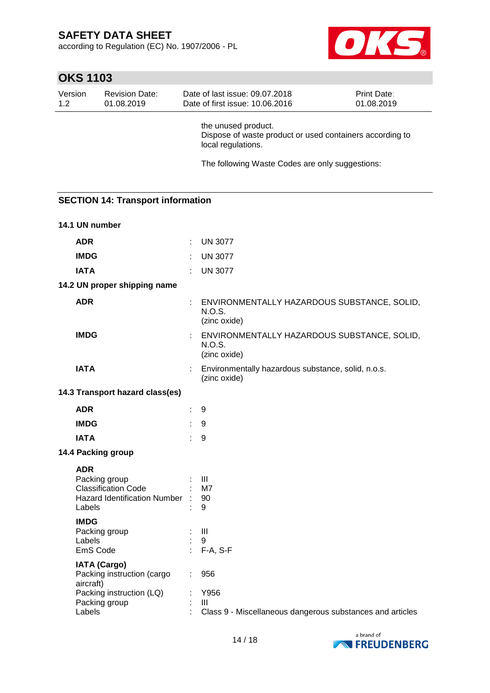according to Regulation (EC) No. 1907/2006 - PL



| Version | <b>Revision Date:</b>                                                                                                 |    | Date of last issue: 09.07.2018                                                                        | Print Date: |
|---------|-----------------------------------------------------------------------------------------------------------------------|----|-------------------------------------------------------------------------------------------------------|-------------|
| 1.2     | 01.08.2019                                                                                                            |    | Date of first issue: 10.06.2016                                                                       | 01.08.2019  |
|         |                                                                                                                       |    | the unused product.<br>Dispose of waste product or used containers according to<br>local regulations. |             |
|         |                                                                                                                       |    | The following Waste Codes are only suggestions:                                                       |             |
|         |                                                                                                                       |    |                                                                                                       |             |
|         | <b>SECTION 14: Transport information</b>                                                                              |    |                                                                                                       |             |
|         |                                                                                                                       |    |                                                                                                       |             |
|         | 14.1 UN number                                                                                                        |    |                                                                                                       |             |
|         | <b>ADR</b>                                                                                                            | ÷. | <b>UN 3077</b>                                                                                        |             |
|         | <b>IMDG</b>                                                                                                           |    | <b>UN 3077</b>                                                                                        |             |
|         | <b>IATA</b>                                                                                                           |    | <b>UN 3077</b>                                                                                        |             |
|         | 14.2 UN proper shipping name                                                                                          |    |                                                                                                       |             |
|         | <b>ADR</b>                                                                                                            |    | ENVIRONMENTALLY HAZARDOUS SUBSTANCE, SOLID,<br><b>N.O.S.</b><br>(zinc oxide)                          |             |
|         | <b>IMDG</b>                                                                                                           |    | ENVIRONMENTALLY HAZARDOUS SUBSTANCE, SOLID,<br>N.O.S.<br>(zinc oxide)                                 |             |
|         | <b>IATA</b>                                                                                                           |    | Environmentally hazardous substance, solid, n.o.s.<br>(zinc oxide)                                    |             |
|         | 14.3 Transport hazard class(es)                                                                                       |    |                                                                                                       |             |
|         | <b>ADR</b>                                                                                                            | t. | 9                                                                                                     |             |
|         | <b>IMDG</b>                                                                                                           |    | 9                                                                                                     |             |
|         | <b>IATA</b>                                                                                                           |    | 9                                                                                                     |             |
|         | 14.4 Packing group                                                                                                    |    |                                                                                                       |             |
|         | <b>ADR</b><br>Packing group<br><b>Classification Code</b><br><b>Hazard Identification Number</b><br>Labels            |    | Ш<br>M7<br>90<br>9                                                                                    |             |
|         | <b>IMDG</b><br>Packing group<br>Labels<br>EmS Code                                                                    |    | $\mathbf{III}$<br>9<br>F-A, S-F                                                                       |             |
|         | <b>IATA (Cargo)</b><br>Packing instruction (cargo<br>aircraft)<br>Packing instruction (LQ)<br>Packing group<br>Labels |    | 956<br>Y956<br>$\mathbf{III}$<br>Class 9 - Miscellaneous dangerous substances and articles            |             |

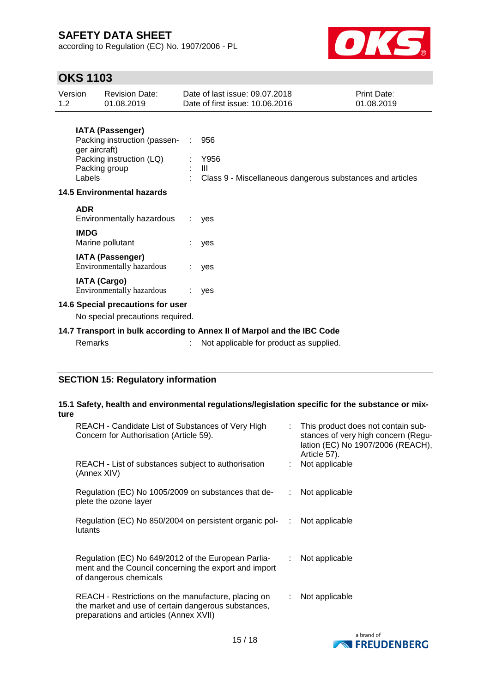according to Regulation (EC) No. 1907/2006 - PL



# **OKS 1103**

| Version<br>1.2                    |                                                                         | <b>Revision Date:</b><br>01.08.2019                  |  | Date of last issue: 09.07.2018<br>Date of first issue: 10.06.2016      | Print Date:<br>01.08.2019 |
|-----------------------------------|-------------------------------------------------------------------------|------------------------------------------------------|--|------------------------------------------------------------------------|---------------------------|
|                                   |                                                                         | <b>IATA (Passenger)</b>                              |  |                                                                        |                           |
|                                   | ger aircraft)                                                           | Packing instruction (passen-                         |  | 956                                                                    |                           |
|                                   | Labels                                                                  | Packing instruction (LQ)<br>Packing group            |  | Y956<br>Ш<br>Class 9 - Miscellaneous dangerous substances and articles |                           |
| <b>14.5 Environmental hazards</b> |                                                                         |                                                      |  |                                                                        |                           |
|                                   | <b>ADR</b>                                                              | Environmentally hazardous                            |  | yes                                                                    |                           |
|                                   | <b>IMDG</b>                                                             | Marine pollutant                                     |  | yes                                                                    |                           |
|                                   |                                                                         | <b>IATA (Passenger)</b><br>Environmentally hazardous |  | yes                                                                    |                           |
|                                   |                                                                         | <b>IATA (Cargo)</b><br>Environmentally hazardous     |  | yes                                                                    |                           |
|                                   | 14.6 Special precautions for user                                       |                                                      |  |                                                                        |                           |
|                                   | No special precautions required.                                        |                                                      |  |                                                                        |                           |
|                                   | 14.7 Transport in bulk according to Annex II of Marpol and the IBC Code |                                                      |  |                                                                        |                           |
|                                   | Remarks                                                                 |                                                      |  | Not applicable for product as supplied.                                |                           |

### **SECTION 15: Regulatory information**

### **15.1 Safety, health and environmental regulations/legislation specific for the substance or mixture**

| REACH - Candidate List of Substances of Very High<br>Concern for Authorisation (Article 59).                                                         |    | : This product does not contain sub-<br>stances of very high concern (Regu-<br>lation (EC) No 1907/2006 (REACH),<br>Article 57). |
|------------------------------------------------------------------------------------------------------------------------------------------------------|----|----------------------------------------------------------------------------------------------------------------------------------|
| REACH - List of substances subject to authorisation<br>(Annex XIV)                                                                                   |    | Not applicable                                                                                                                   |
| Regulation (EC) No 1005/2009 on substances that de-<br>plete the ozone layer                                                                         | ÷  | Not applicable                                                                                                                   |
| Regulation (EC) No 850/2004 on persistent organic pol-<br>:<br>lutants                                                                               |    | Not applicable                                                                                                                   |
| Regulation (EC) No 649/2012 of the European Parlia-<br>ment and the Council concerning the export and import<br>of dangerous chemicals               | ÷. | Not applicable                                                                                                                   |
| REACH - Restrictions on the manufacture, placing on<br>the market and use of certain dangerous substances,<br>preparations and articles (Annex XVII) |    | Not applicable                                                                                                                   |

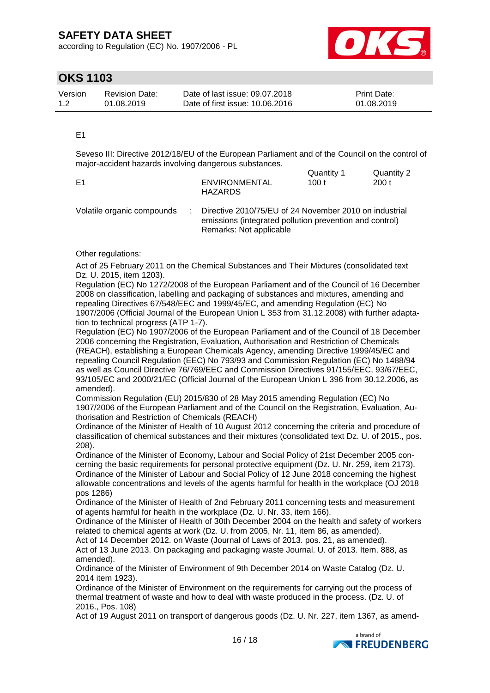according to Regulation (EC) No. 1907/2006 - PL



## **OKS 1103**

| Version | <b>Revision Date:</b> | Date of last issue: 09.07.2018  | <b>Print Date:</b> |
|---------|-----------------------|---------------------------------|--------------------|
| 1.2     | 01.08.2019            | Date of first issue: 10.06.2016 | 01.08.2019         |

#### E1

Seveso III: Directive 2012/18/EU of the European Parliament and of the Council on the control of major-accident hazards involving dangerous substances.

|                |                                        | Quantity 1 | Quantity 2 |
|----------------|----------------------------------------|------------|------------|
| E <sub>1</sub> | <b>ENVIRONMENTAL</b><br><b>HAZARDS</b> | 100 t      | 200t       |

| Volatile organic compounds | Directive 2010/75/EU of 24 November 2010 on industrial  |
|----------------------------|---------------------------------------------------------|
|                            | emissions (integrated pollution prevention and control) |
|                            | Remarks: Not applicable                                 |

#### Other regulations:

Act of 25 February 2011 on the Chemical Substances and Their Mixtures (consolidated text Dz. U. 2015, item 1203).

Regulation (EC) No 1272/2008 of the European Parliament and of the Council of 16 December 2008 on classification, labelling and packaging of substances and mixtures, amending and repealing Directives 67/548/EEC and 1999/45/EC, and amending Regulation (EC) No 1907/2006 (Official Journal of the European Union L 353 from 31.12.2008) with further adaptation to technical progress (ATP 1-7).

Regulation (EC) No 1907/2006 of the European Parliament and of the Council of 18 December 2006 concerning the Registration, Evaluation, Authorisation and Restriction of Chemicals (REACH), establishing a European Chemicals Agency, amending Directive 1999/45/EC and repealing Council Regulation (EEC) No 793/93 and Commission Regulation (EC) No 1488/94 as well as Council Directive 76/769/EEC and Commission Directives 91/155/EEC, 93/67/EEC, 93/105/EC and 2000/21/EC (Official Journal of the European Union L 396 from 30.12.2006, as amended).

Commission Regulation (EU) 2015/830 of 28 May 2015 amending Regulation (EC) No 1907/2006 of the European Parliament and of the Council on the Registration, Evaluation, Authorisation and Restriction of Chemicals (REACH)

Ordinance of the Minister of Health of 10 August 2012 concerning the criteria and procedure of classification of chemical substances and their mixtures (consolidated text Dz. U. of 2015., pos. 208).

Ordinance of the Minister of Economy, Labour and Social Policy of 21st December 2005 concerning the basic requirements for personal protective equipment (Dz. U. Nr. 259, item 2173). Ordinance of the Minister of Labour and Social Policy of 12 June 2018 concerning the highest allowable concentrations and levels of the agents harmful for health in the workplace (OJ 2018 pos 1286)

Ordinance of the Minister of Health of 2nd February 2011 concerning tests and measurement of agents harmful for health in the workplace (Dz. U. Nr. 33, item 166).

Ordinance of the Minister of Health of 30th December 2004 on the health and safety of workers related to chemical agents at work (Dz. U. from 2005, Nr. 11, item 86, as amended).

Act of 14 December 2012. on Waste (Journal of Laws of 2013. pos. 21, as amended).

Act of 13 June 2013. On packaging and packaging waste Journal. U. of 2013. Item. 888, as amended).

Ordinance of the Minister of Environment of 9th December 2014 on Waste Catalog (Dz. U. 2014 item 1923).

Ordinance of the Minister of Environment on the requirements for carrying out the process of thermal treatment of waste and how to deal with waste produced in the process. (Dz. U. of 2016., Pos. 108)

Act of 19 August 2011 on transport of dangerous goods (Dz. U. Nr. 227, item 1367, as amend-

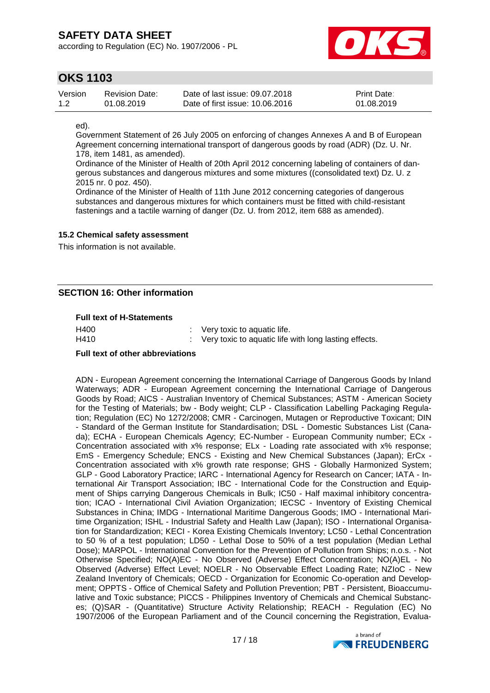according to Regulation (EC) No. 1907/2006 - PL



### **OKS 1103**

| Version | Revision Date: | Date of last issue: 09.07.2018  | <b>Print Date:</b> |
|---------|----------------|---------------------------------|--------------------|
| 1.2     | 01.08.2019     | Date of first issue: 10.06.2016 | 01.08.2019         |

ed).

Government Statement of 26 July 2005 on enforcing of changes Annexes A and B of European Agreement concerning international transport of dangerous goods by road (ADR) (Dz. U. Nr. 178, item 1481, as amended).

Ordinance of the Minister of Health of 20th April 2012 concerning labeling of containers of dangerous substances and dangerous mixtures and some mixtures ((consolidated text) Dz. U. z 2015 nr. 0 poz. 450).

Ordinance of the Minister of Health of 11th June 2012 concerning categories of dangerous substances and dangerous mixtures for which containers must be fitted with child-resistant fastenings and a tactile warning of danger (Dz. U. from 2012, item 688 as amended).

### **15.2 Chemical safety assessment**

This information is not available.

### **SECTION 16: Other information**

#### **Full text of H-Statements**

| H400 | $\therefore$ Very toxic to aquatic life.                |
|------|---------------------------------------------------------|
| H410 | : Very toxic to aquatic life with long lasting effects. |

#### **Full text of other abbreviations**

ADN - European Agreement concerning the International Carriage of Dangerous Goods by Inland Waterways; ADR - European Agreement concerning the International Carriage of Dangerous Goods by Road; AICS - Australian Inventory of Chemical Substances; ASTM - American Society for the Testing of Materials; bw - Body weight; CLP - Classification Labelling Packaging Regulation; Regulation (EC) No 1272/2008; CMR - Carcinogen, Mutagen or Reproductive Toxicant; DIN - Standard of the German Institute for Standardisation; DSL - Domestic Substances List (Canada); ECHA - European Chemicals Agency; EC-Number - European Community number; ECx - Concentration associated with x% response; ELx - Loading rate associated with x% response; EmS - Emergency Schedule; ENCS - Existing and New Chemical Substances (Japan); ErCx - Concentration associated with x% growth rate response; GHS - Globally Harmonized System; GLP - Good Laboratory Practice; IARC - International Agency for Research on Cancer; IATA - International Air Transport Association; IBC - International Code for the Construction and Equipment of Ships carrying Dangerous Chemicals in Bulk; IC50 - Half maximal inhibitory concentration; ICAO - International Civil Aviation Organization; IECSC - Inventory of Existing Chemical Substances in China; IMDG - International Maritime Dangerous Goods; IMO - International Maritime Organization; ISHL - Industrial Safety and Health Law (Japan); ISO - International Organisation for Standardization; KECI - Korea Existing Chemicals Inventory; LC50 - Lethal Concentration to 50 % of a test population; LD50 - Lethal Dose to 50% of a test population (Median Lethal Dose); MARPOL - International Convention for the Prevention of Pollution from Ships; n.o.s. - Not Otherwise Specified; NO(A)EC - No Observed (Adverse) Effect Concentration; NO(A)EL - No Observed (Adverse) Effect Level; NOELR - No Observable Effect Loading Rate; NZIoC - New Zealand Inventory of Chemicals; OECD - Organization for Economic Co-operation and Development; OPPTS - Office of Chemical Safety and Pollution Prevention; PBT - Persistent, Bioaccumulative and Toxic substance; PICCS - Philippines Inventory of Chemicals and Chemical Substances; (Q)SAR - (Quantitative) Structure Activity Relationship; REACH - Regulation (EC) No 1907/2006 of the European Parliament and of the Council concerning the Registration, Evalua-